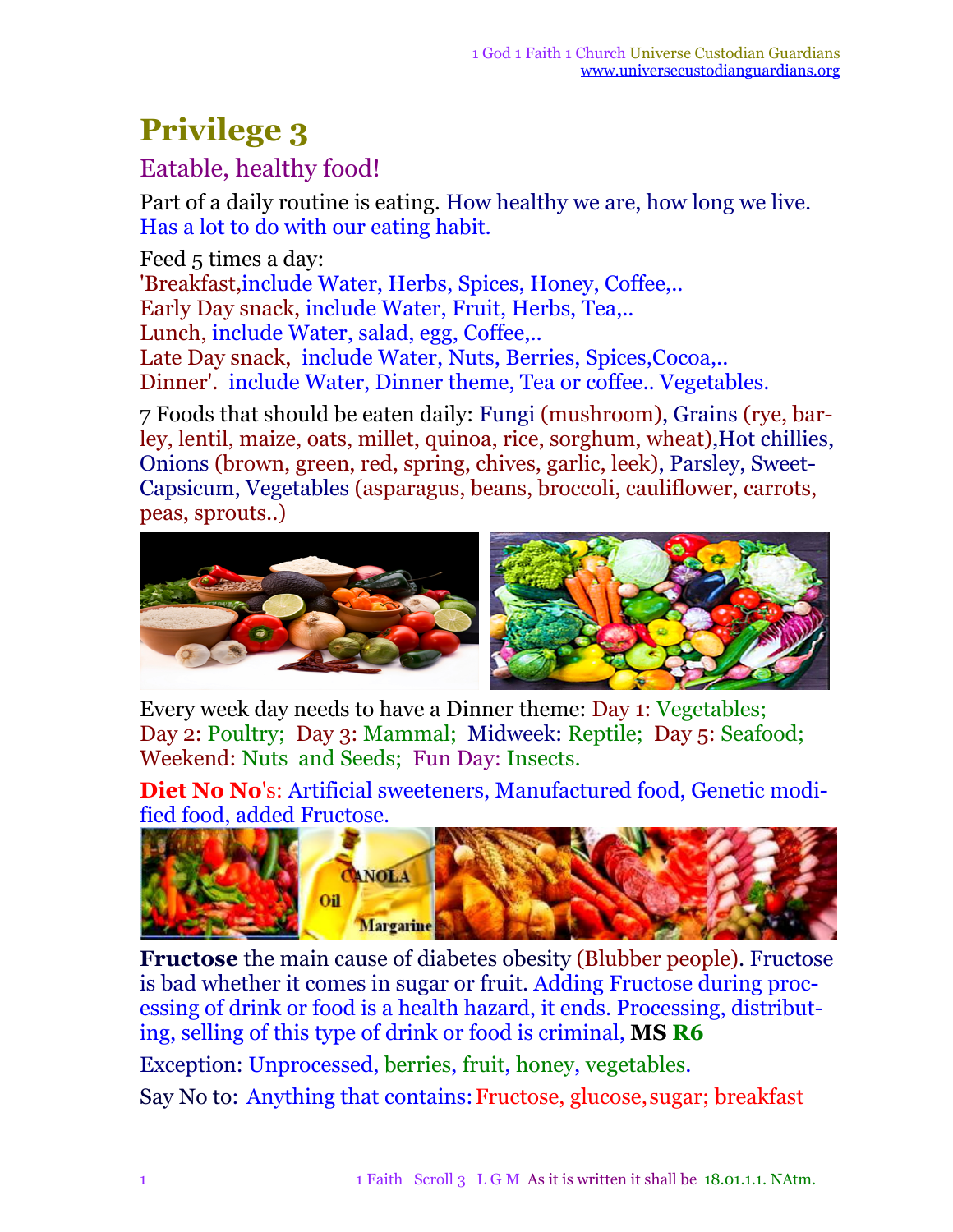## **Privilege 3**

## Eatable, healthy food!

Part of a daily routine is eating. How healthy we are, how long we live. Has a lot to do with our eating habit.

Feed 5 times a day: 'Breakfast,include Water, Herbs, Spices, Honey, Coffee,.. Early Day snack, include Water, Fruit, Herbs, Tea,.. Lunch, include Water, salad, egg, Coffee,.. Late Day snack, include Water, Nuts, Berries, Spices,Cocoa,.. Dinner'. include Water, Dinner theme, Tea or coffee.. Vegetables.

7 Foods that should be eaten daily: Fungi (mushroom), Grains (rye, barley, lentil, maize, oats, millet, quinoa, rice, sorghum, wheat),Hot chillies, Onions (brown, green, red, spring, chives, garlic, leek), Parsley, Sweet-Capsicum, Vegetables (asparagus, beans, broccoli, cauliflower, carrots, peas, sprouts..)



Every week day needs to have a Dinner theme: Day 1: Vegetables; Day 2: Poultry; Day 3: Mammal; Midweek: Reptile; Day 5: Seafood; Weekend: Nuts and Seeds; Fun Day: Insects.

**Diet No No**'s: Artificial sweeteners, Manufactured food, Genetic modified food, added Fructose.



**Fructose** the main cause of diabetes obesity (Blubber people). Fructose is bad whether it comes in sugar or fruit. Adding Fructose during processing of drink or food is a health hazard, it ends. Processing, distributing, selling of this type of drink or food is criminal, **MS R6** Exception: Unprocessed, berries, fruit, honey, vegetables.

Say No to: Anything that contains:Fructose, glucose,sugar; breakfast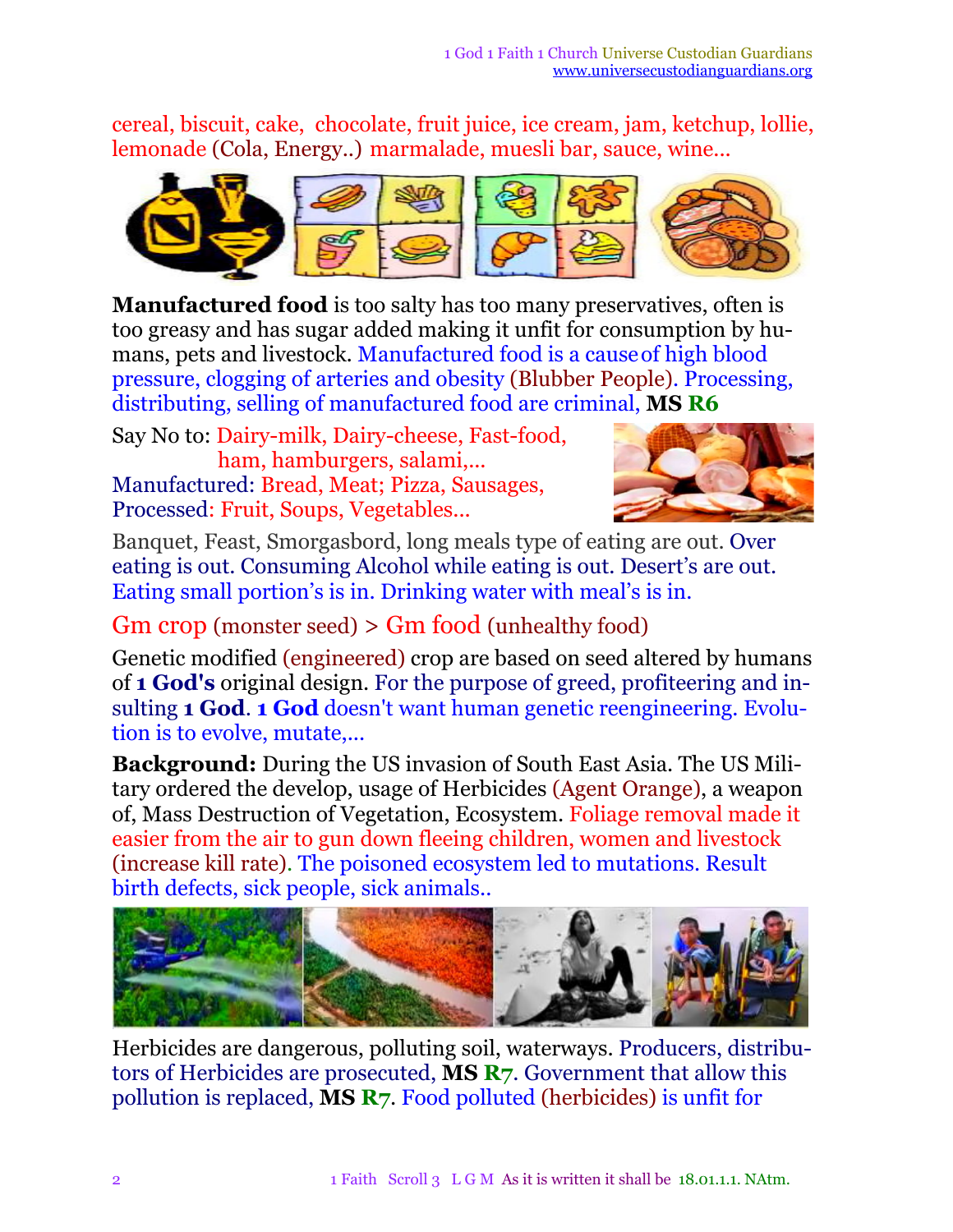cereal, biscuit, cake, chocolate, fruit juice, ice cream, jam, ketchup, lollie, lemonade (Cola, Energy..) marmalade, muesli bar, sauce, wine...



**Manufactured food** is too salty has too many preservatives, often is too greasy and has sugar added making it unfit for consumption by humans, pets and livestock*.* Manufactured food is a causeof high blood pressure, clogging of arteries and obesity (Blubber People). Processing, distributing, selling of manufactured food are criminal, **MS R6**

Say No to: Dairy-milk, Dairy-cheese, Fast-food, ham, hamburgers, salami,... Manufactured: Bread, Meat; Pizza, Sausages, Processed: Fruit, Soups, Vegetables...



Banquet, Feast, Smorgasbord, long meals type of eating are out. Over eating is out. Consuming Alcohol while eating is out. Desert's are out. Eating small portion's is in. Drinking water with meal's is in.

Gm crop (monster seed) > Gm food (unhealthy food)

Genetic modified (engineered) crop are based on seed altered by humans of **1 God's** original design. For the purpose of greed, profiteering and insulting **1 God**. **1 God** doesn't want human genetic reengineering. Evolution is to evolve, mutate,...

**Background:** During the US invasion of South East Asia. The US Military ordered the develop, usage of Herbicides (Agent Orange), a weapon of, Mass Destruction of Vegetation, Ecosystem. Foliage removal made it easier from the air to gun down fleeing children, women and livestock (increase kill rate). The poisoned ecosystem led to mutations. Result birth defects, sick people, sick animals..



Herbicides are dangerous, polluting soil, waterways. Producers, distributors of Herbicides are prosecuted, **MS R7**. Government that allow this pollution is replaced, **MS R7**. Food polluted (herbicides) is unfit for